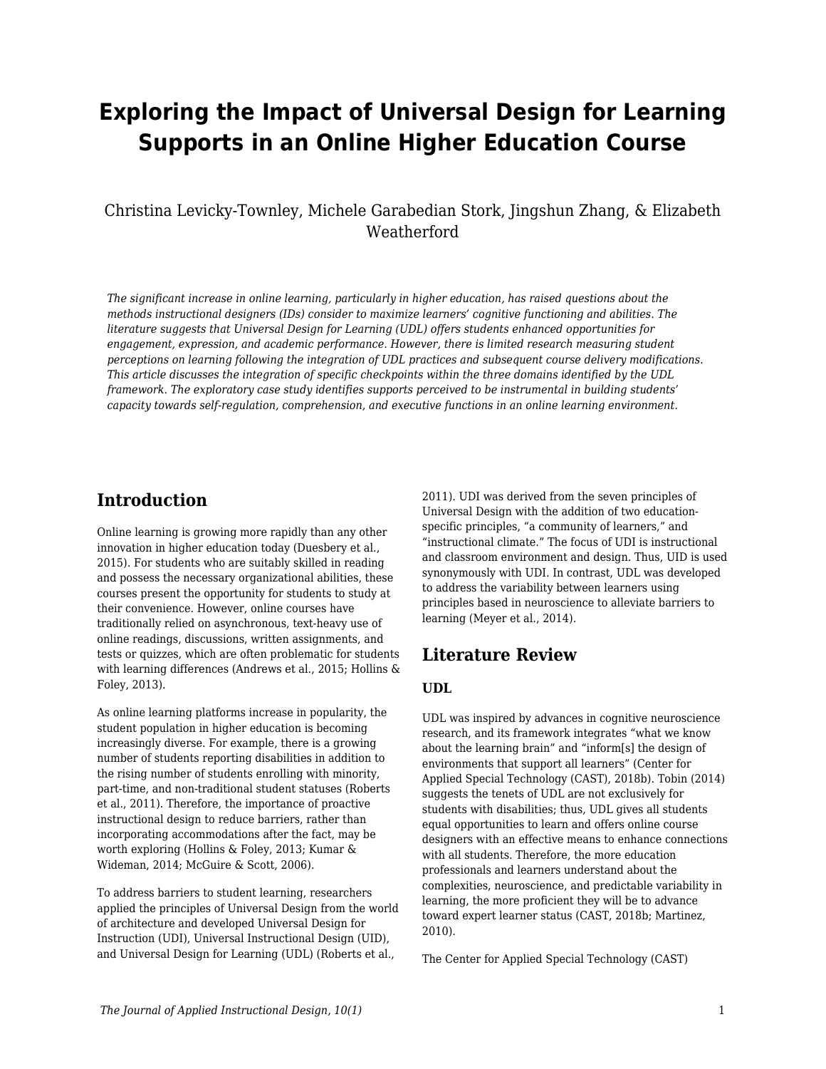# **Exploring the Impact of Universal Design for Learning Supports in an Online Higher Education Course**

#### Christina Levicky-Townley, Michele Garabedian Stork, Jingshun Zhang, & Elizabeth **Weatherford**

*The significant increase in online learning, particularly in higher education, has raised questions about the methods instructional designers (IDs) consider to maximize learners' cognitive functioning and abilities. The literature suggests that Universal Design for Learning (UDL) offers students enhanced opportunities for engagement, expression, and academic performance. However, there is limited research measuring student perceptions on learning following the integration of UDL practices and subsequent course delivery modifications. This article discusses the integration of specific checkpoints within the three domains identified by the UDL framework. The exploratory case study identifies supports perceived to be instrumental in building students' capacity towards self-regulation, comprehension, and executive functions in an online learning environment.*

#### **Introduction**

Online learning is growing more rapidly than any other innovation in higher education today (Duesbery et al., 2015). For students who are suitably skilled in reading and possess the necessary organizational abilities, these courses present the opportunity for students to study at their convenience. However, online courses have traditionally relied on asynchronous, text-heavy use of online readings, discussions, written assignments, and tests or quizzes, which are often problematic for students with learning differences (Andrews et al., 2015; Hollins & Foley, 2013).

As online learning platforms increase in popularity, the student population in higher education is becoming increasingly diverse. For example, there is a growing number of students reporting disabilities in addition to the rising number of students enrolling with minority, part-time, and non-traditional student statuses (Roberts et al., 2011). Therefore, the importance of proactive instructional design to reduce barriers, rather than incorporating accommodations after the fact, may be worth exploring (Hollins & Foley, 2013; Kumar & Wideman, 2014; McGuire & Scott, 2006).

To address barriers to student learning, researchers applied the principles of Universal Design from the world of architecture and developed Universal Design for Instruction (UDI), Universal Instructional Design (UID), and Universal Design for Learning (UDL) (Roberts et al.,

2011). UDI was derived from the seven principles of Universal Design with the addition of two educationspecific principles, "a community of learners," and "instructional climate." The focus of UDI is instructional and classroom environment and design. Thus, UID is used synonymously with UDI. In contrast, UDL was developed to address the variability between learners using principles based in neuroscience to alleviate barriers to learning (Meyer et al., 2014).

### **Literature Review**

#### **UDL**

UDL was inspired by advances in cognitive neuroscience research, and its framework integrates "what we know about the learning brain" and "inform[s] the design of environments that support all learners" (Center for Applied Special Technology (CAST), 2018b). Tobin (2014) suggests the tenets of UDL are not exclusively for students with disabilities; thus, UDL gives all students equal opportunities to learn and offers online course designers with an effective means to enhance connections with all students. Therefore, the more education professionals and learners understand about the complexities, neuroscience, and predictable variability in learning, the more proficient they will be to advance toward expert learner status (CAST, 2018b; Martinez, 2010).

The Center for Applied Special Technology (CAST)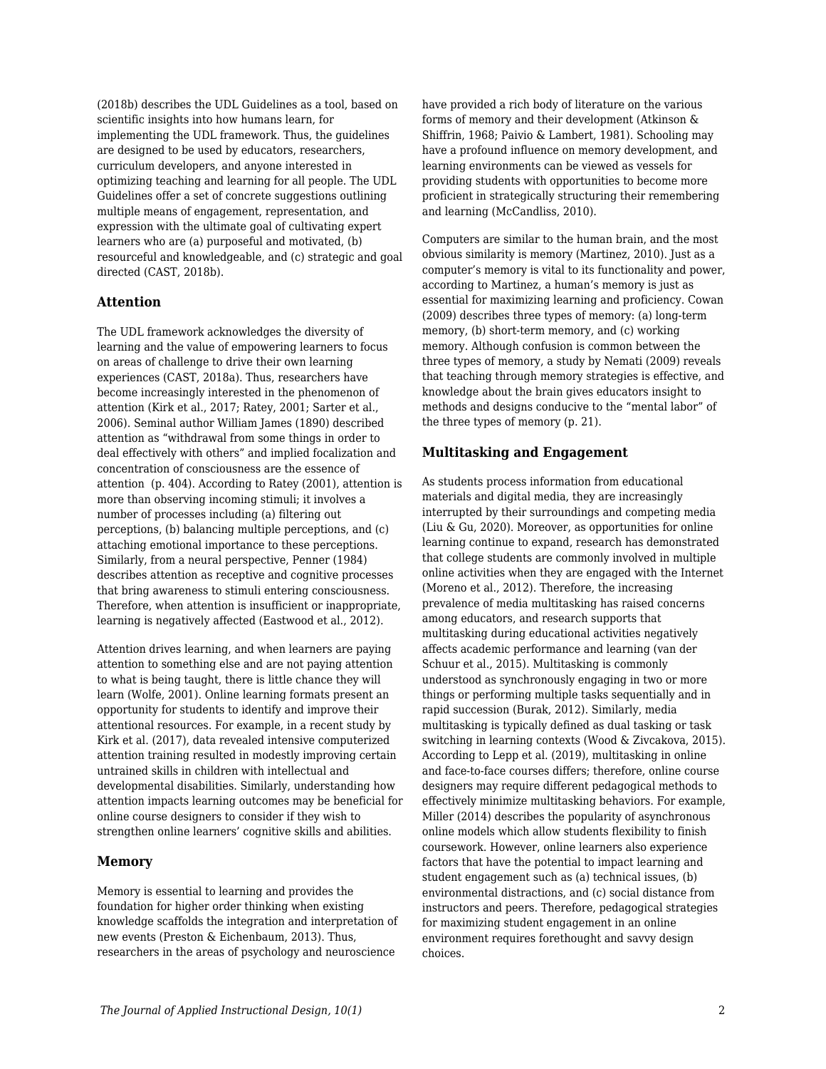(2018b) describes the UDL Guidelines as a tool, based on scientific insights into how humans learn, for implementing the UDL framework. Thus, the guidelines are designed to be used by educators, researchers, curriculum developers, and anyone interested in optimizing teaching and learning for all people. The UDL Guidelines offer a set of concrete suggestions outlining multiple means of engagement, representation, and expression with the ultimate goal of cultivating expert learners who are (a) purposeful and motivated, (b) resourceful and knowledgeable, and (c) strategic and goal directed (CAST, 2018b).

#### **Attention**

The UDL framework acknowledges the diversity of learning and the value of empowering learners to focus on areas of challenge to drive their own learning experiences (CAST, 2018a). Thus, researchers have become increasingly interested in the phenomenon of attention (Kirk et al., 2017; Ratey, 2001; Sarter et al., 2006). Seminal author William James (1890) described attention as "withdrawal from some things in order to deal effectively with others" and implied focalization and concentration of consciousness are the essence of attention (p. 404). According to Ratey (2001), attention is more than observing incoming stimuli; it involves a number of processes including (a) filtering out perceptions, (b) balancing multiple perceptions, and (c) attaching emotional importance to these perceptions. Similarly, from a neural perspective, Penner (1984) describes attention as receptive and cognitive processes that bring awareness to stimuli entering consciousness. Therefore, when attention is insufficient or inappropriate, learning is negatively affected (Eastwood et al., 2012).

Attention drives learning, and when learners are paying attention to something else and are not paying attention to what is being taught, there is little chance they will learn (Wolfe, 2001). Online learning formats present an opportunity for students to identify and improve their attentional resources. For example, in a recent study by Kirk et al. (2017), data revealed intensive computerized attention training resulted in modestly improving certain untrained skills in children with intellectual and developmental disabilities. Similarly, understanding how attention impacts learning outcomes may be beneficial for online course designers to consider if they wish to strengthen online learners' cognitive skills and abilities.

#### **Memory**

Memory is essential to learning and provides the foundation for higher order thinking when existing knowledge scaffolds the integration and interpretation of new events (Preston & Eichenbaum, 2013). Thus, researchers in the areas of psychology and neuroscience

have provided a rich body of literature on the various forms of memory and their development (Atkinson & Shiffrin, 1968; Paivio & Lambert, 1981). Schooling may have a profound influence on memory development, and learning environments can be viewed as vessels for providing students with opportunities to become more proficient in strategically structuring their remembering and learning (McCandliss, 2010).

Computers are similar to the human brain, and the most obvious similarity is memory (Martinez, 2010). Just as a computer's memory is vital to its functionality and power, according to Martinez, a human's memory is just as essential for maximizing learning and proficiency. Cowan (2009) describes three types of memory: (a) long-term memory, (b) short-term memory, and (c) working memory. Although confusion is common between the three types of memory, a study by Nemati (2009) reveals that teaching through memory strategies is effective, and knowledge about the brain gives educators insight to methods and designs conducive to the "mental labor" of the three types of memory (p. 21).

#### **Multitasking and Engagement**

As students process information from educational materials and digital media, they are increasingly interrupted by their surroundings and competing media (Liu & Gu, 2020). Moreover, as opportunities for online learning continue to expand, research has demonstrated that college students are commonly involved in multiple online activities when they are engaged with the Internet (Moreno et al., 2012). Therefore, the increasing prevalence of media multitasking has raised concerns among educators, and research supports that multitasking during educational activities negatively affects academic performance and learning (van der Schuur et al., 2015). Multitasking is commonly understood as synchronously engaging in two or more things or performing multiple tasks sequentially and in rapid succession (Burak, 2012). Similarly, media multitasking is typically defined as dual tasking or task switching in learning contexts (Wood & Zivcakova, 2015). According to Lepp et al. (2019), multitasking in online and face-to-face courses differs; therefore, online course designers may require different pedagogical methods to effectively minimize multitasking behaviors. For example, Miller (2014) describes the popularity of asynchronous online models which allow students flexibility to finish coursework. However, online learners also experience factors that have the potential to impact learning and student engagement such as (a) technical issues, (b) environmental distractions, and (c) social distance from instructors and peers. Therefore, pedagogical strategies for maximizing student engagement in an online environment requires forethought and savvy design choices.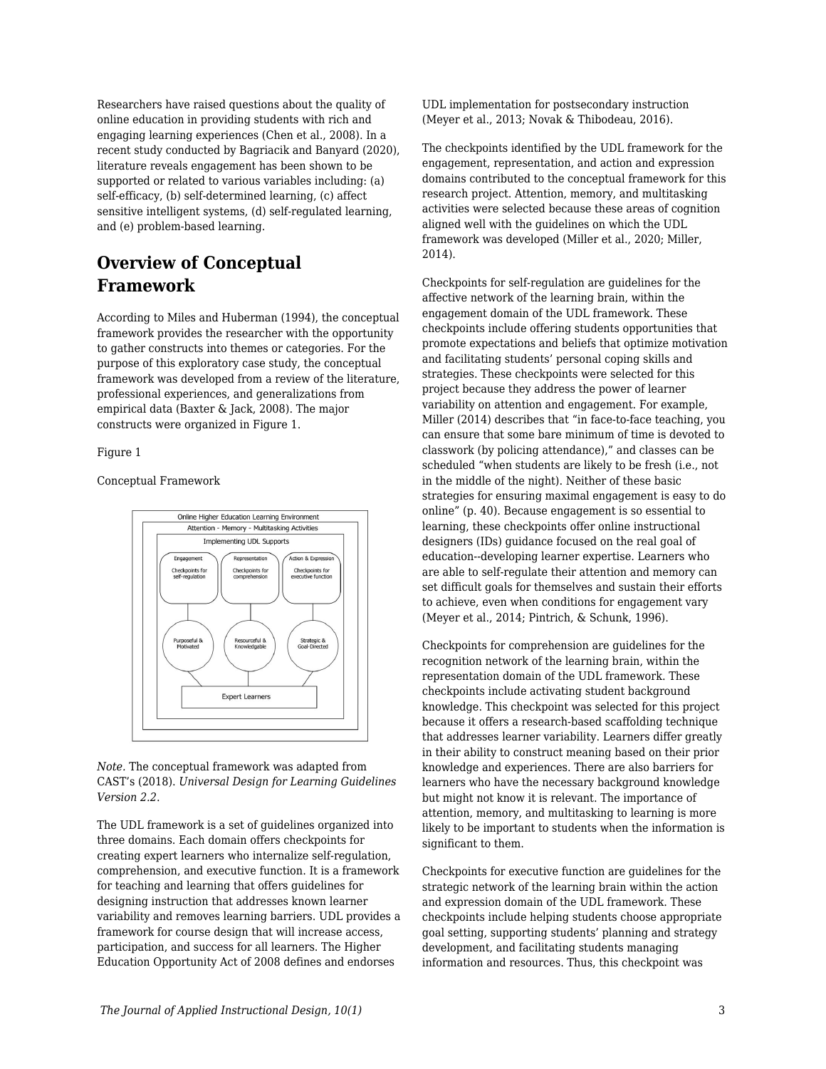Researchers have raised questions about the quality of online education in providing students with rich and engaging learning experiences (Chen et al., 2008). In a recent study conducted by Bagriacik and Banyard (2020), literature reveals engagement has been shown to be supported or related to various variables including: (a) self-efficacy, (b) self-determined learning, (c) affect sensitive intelligent systems, (d) self-regulated learning, and (e) problem-based learning.

### **Overview of Conceptual Framework**

According to Miles and Huberman (1994), the conceptual framework provides the researcher with the opportunity to gather constructs into themes or categories. For the purpose of this exploratory case study, the conceptual framework was developed from a review of the literature, professional experiences, and generalizations from empirical data (Baxter & Jack, 2008). The major constructs were organized in Figure 1.

Figure 1

Conceptual Framework



*Note.* The conceptual framework was adapted from CAST's (2018). *Universal Design for Learning Guidelines Version 2.2*.

The UDL framework is a set of guidelines organized into three domains. Each domain offers checkpoints for creating expert learners who internalize self-regulation, comprehension, and executive function. It is a framework for teaching and learning that offers guidelines for designing instruction that addresses known learner variability and removes learning barriers. UDL provides a framework for course design that will increase access, participation, and success for all learners. The Higher Education Opportunity Act of 2008 defines and endorses

UDL implementation for postsecondary instruction (Meyer et al., 2013; Novak & Thibodeau, 2016).

The checkpoints identified by the UDL framework for the engagement, representation, and action and expression domains contributed to the conceptual framework for this research project. Attention, memory, and multitasking activities were selected because these areas of cognition aligned well with the guidelines on which the UDL framework was developed (Miller et al., 2020; Miller, 2014).

Checkpoints for self-regulation are guidelines for the affective network of the learning brain, within the engagement domain of the UDL framework. These checkpoints include offering students opportunities that promote expectations and beliefs that optimize motivation and facilitating students' personal coping skills and strategies. These checkpoints were selected for this project because they address the power of learner variability on attention and engagement. For example, Miller (2014) describes that "in face-to-face teaching, you can ensure that some bare minimum of time is devoted to classwork (by policing attendance)," and classes can be scheduled "when students are likely to be fresh (i.e., not in the middle of the night). Neither of these basic strategies for ensuring maximal engagement is easy to do online" (p. 40). Because engagement is so essential to learning, these checkpoints offer online instructional designers (IDs) guidance focused on the real goal of education--developing learner expertise. Learners who are able to self-regulate their attention and memory can set difficult goals for themselves and sustain their efforts to achieve, even when conditions for engagement vary (Meyer et al., 2014; Pintrich, & Schunk, 1996).

Checkpoints for comprehension are guidelines for the recognition network of the learning brain, within the representation domain of the UDL framework. These checkpoints include activating student background knowledge. This checkpoint was selected for this project because it offers a research-based scaffolding technique that addresses learner variability. Learners differ greatly in their ability to construct meaning based on their prior knowledge and experiences. There are also barriers for learners who have the necessary background knowledge but might not know it is relevant. The importance of attention, memory, and multitasking to learning is more likely to be important to students when the information is significant to them.

Checkpoints for executive function are guidelines for the strategic network of the learning brain within the action and expression domain of the UDL framework. These checkpoints include helping students choose appropriate goal setting, supporting students' planning and strategy development, and facilitating students managing information and resources. Thus, this checkpoint was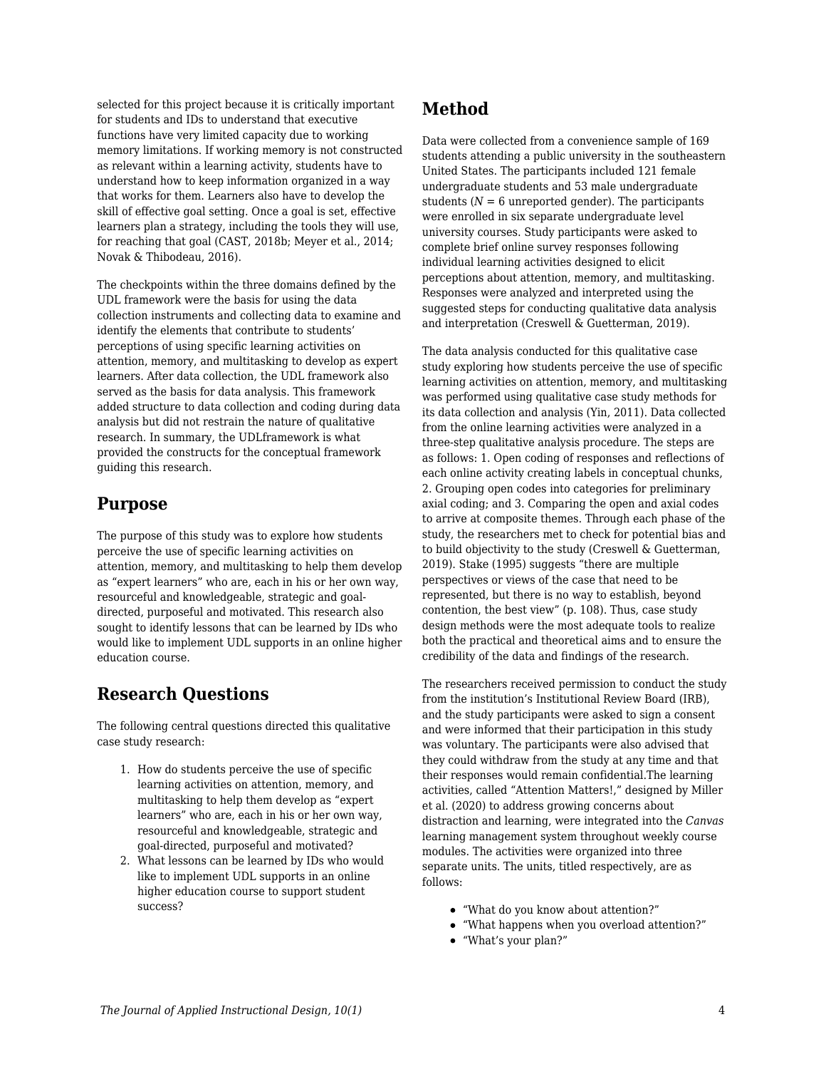selected for this project because it is critically important for students and IDs to understand that executive functions have very limited capacity due to working memory limitations. If working memory is not constructed as relevant within a learning activity, students have to understand how to keep information organized in a way that works for them. Learners also have to develop the skill of effective goal setting. Once a goal is set, effective learners plan a strategy, including the tools they will use, for reaching that goal (CAST, 2018b; Meyer et al., 2014; Novak & Thibodeau, 2016).

The checkpoints within the three domains defined by the UDL framework were the basis for using the data collection instruments and collecting data to examine and identify the elements that contribute to students' perceptions of using specific learning activities on attention, memory, and multitasking to develop as expert learners. After data collection, the UDL framework also served as the basis for data analysis. This framework added structure to data collection and coding during data analysis but did not restrain the nature of qualitative research. In summary, the UDLframework is what provided the constructs for the conceptual framework guiding this research.

#### **Purpose**

The purpose of this study was to explore how students perceive the use of specific learning activities on attention, memory, and multitasking to help them develop as "expert learners" who are, each in his or her own way, resourceful and knowledgeable, strategic and goaldirected, purposeful and motivated. This research also sought to identify lessons that can be learned by IDs who would like to implement UDL supports in an online higher education course.

### **Research Questions**

The following central questions directed this qualitative case study research:

- 1. How do students perceive the use of specific learning activities on attention, memory, and multitasking to help them develop as "expert learners" who are, each in his or her own way, resourceful and knowledgeable, strategic and goal-directed, purposeful and motivated?
- 2. What lessons can be learned by IDs who would like to implement UDL supports in an online higher education course to support student success?

### **Method**

Data were collected from a convenience sample of 169 students attending a public university in the southeastern United States. The participants included 121 female undergraduate students and 53 male undergraduate students ( $N = 6$  unreported gender). The participants were enrolled in six separate undergraduate level university courses. Study participants were asked to complete brief online survey responses following individual learning activities designed to elicit perceptions about attention, memory, and multitasking. Responses were analyzed and interpreted using the suggested steps for conducting qualitative data analysis and interpretation (Creswell & Guetterman, 2019).

The data analysis conducted for this qualitative case study exploring how students perceive the use of specific learning activities on attention, memory, and multitasking was performed using qualitative case study methods for its data collection and analysis (Yin, 2011). Data collected from the online learning activities were analyzed in a three-step qualitative analysis procedure. The steps are as follows: 1. Open coding of responses and reflections of each online activity creating labels in conceptual chunks, 2. Grouping open codes into categories for preliminary axial coding; and 3. Comparing the open and axial codes to arrive at composite themes. Through each phase of the study, the researchers met to check for potential bias and to build objectivity to the study (Creswell & Guetterman, 2019). Stake (1995) suggests "there are multiple perspectives or views of the case that need to be represented, but there is no way to establish, beyond contention, the best view" (p. 108). Thus, case study design methods were the most adequate tools to realize both the practical and theoretical aims and to ensure the credibility of the data and findings of the research.

The researchers received permission to conduct the study from the institution's Institutional Review Board (IRB), and the study participants were asked to sign a consent and were informed that their participation in this study was voluntary. The participants were also advised that they could withdraw from the study at any time and that their responses would remain confidential.The learning activities, called "Attention Matters!," designed by Miller et al. (2020) to address growing concerns about distraction and learning, were integrated into the *Canvas* learning management system throughout weekly course modules. The activities were organized into three separate units. The units, titled respectively, are as follows:

- "What do you know about attention?"
- "What happens when you overload attention?"
- "What's your plan?"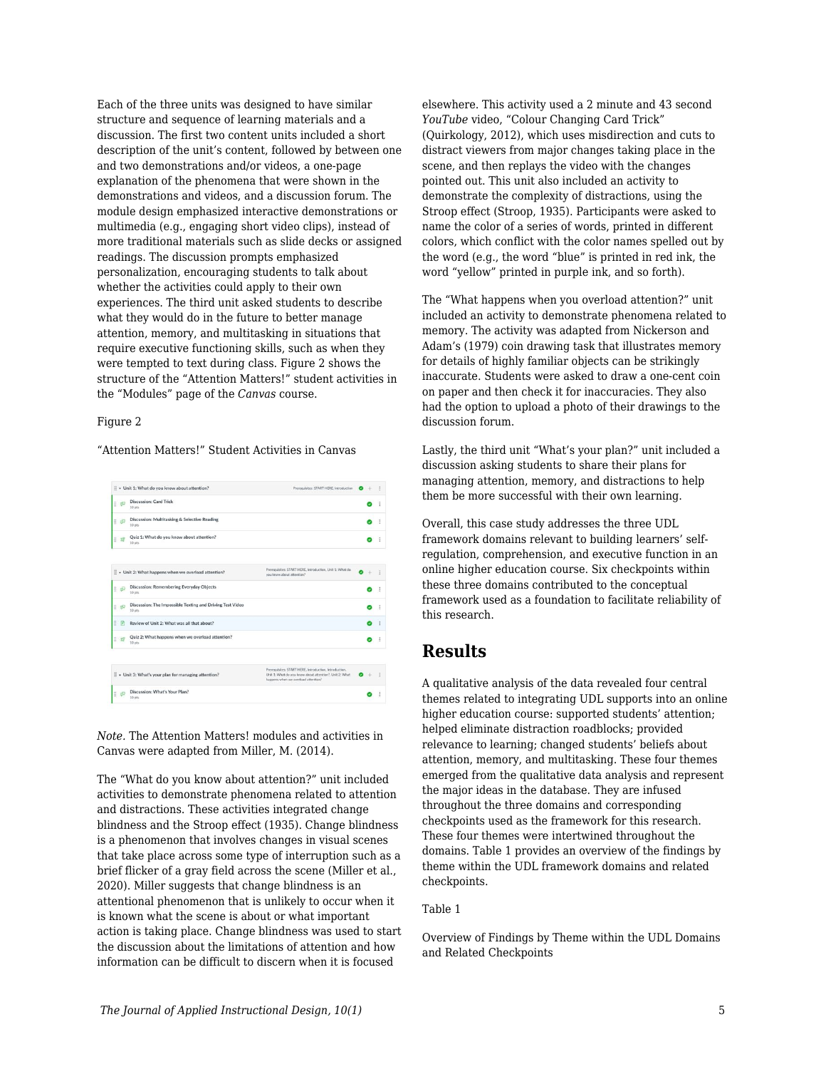Each of the three units was designed to have similar structure and sequence of learning materials and a discussion. The first two content units included a short description of the unit's content, followed by between one and two demonstrations and/or videos, a one-page explanation of the phenomena that were shown in the demonstrations and videos, and a discussion forum. The module design emphasized interactive demonstrations or multimedia (e.g., engaging short video clips), instead of more traditional materials such as slide decks or assigned readings. The discussion prompts emphasized personalization, encouraging students to talk about whether the activities could apply to their own experiences. The third unit asked students to describe what they would do in the future to better manage attention, memory, and multitasking in situations that require executive functioning skills, such as when they were tempted to text during class. Figure 2 shows the structure of the "Attention Matters!" student activities in the "Modules" page of the *Canvas* course.

#### Figure 2

"Attention Matters!" Student Activities in Canvas

|    |                | : v Unit 1: What do you know about attention?                                  | Prerequisites: START HERE, Introduction                                                                                                                  |  |   |
|----|----------------|--------------------------------------------------------------------------------|----------------------------------------------------------------------------------------------------------------------------------------------------------|--|---|
| H. | ல்             | Discussion: Card Trick<br>$10$ oby                                             |                                                                                                                                                          |  |   |
| H  | p53            | Discussion: Multitasking & Selective Reading<br>10 pts                         |                                                                                                                                                          |  |   |
| H  | $\mathbf{S}^2$ | Quiz 1: What do you know about attention?<br>10 pts                            |                                                                                                                                                          |  |   |
|    |                | Vertical term when we overload attention?                                      | Prerequisites: START HERE, Introduction, Unit 1: What do<br>you know about attention?                                                                    |  |   |
| H  | Æ              | Discussion: Remembering Everyday Objects<br>10 ots                             |                                                                                                                                                          |  |   |
| ä  | ல்             | Discussion: The Impossible Texting and Driving Test Video<br>10 <sub>nts</sub> |                                                                                                                                                          |  | ÷ |
| H  |                | Review of Unit 2: What was all that about?                                     |                                                                                                                                                          |  |   |
| Ħ  |                | Quiz 2: What happens when we overload attention?<br>10 ots                     |                                                                                                                                                          |  |   |
|    |                | Vinit 3: What's your plan for managing attention?                              | Prerequisites: START HERE, Introduction, Introduction.<br>Unit 1: What do you know about attention?. Unit 2: What<br>happens when we overload attention? |  |   |
| H  | ங்             | Discussion: What's Your Plan?<br>10 pts                                        |                                                                                                                                                          |  |   |

*Note.* The Attention Matters! modules and activities in Canvas were adapted from Miller, M. (2014).

The "What do you know about attention?" unit included activities to demonstrate phenomena related to attention and distractions. These activities integrated change blindness and the Stroop effect (1935). Change blindness is a phenomenon that involves changes in visual scenes that take place across some type of interruption such as a brief flicker of a gray field across the scene (Miller et al., 2020). Miller suggests that change blindness is an attentional phenomenon that is unlikely to occur when it is known what the scene is about or what important action is taking place. Change blindness was used to start the discussion about the limitations of attention and how information can be difficult to discern when it is focused

elsewhere. This activity used a 2 minute and 43 second *YouTube* video, "Colour Changing Card Trick" (Quirkology, 2012), which uses misdirection and cuts to distract viewers from major changes taking place in the scene, and then replays the video with the changes pointed out. This unit also included an activity to demonstrate the complexity of distractions, using the Stroop effect (Stroop, 1935). Participants were asked to name the color of a series of words, printed in different colors, which conflict with the color names spelled out by the word (e.g., the word "blue" is printed in red ink, the word "yellow" printed in purple ink, and so forth).

The "What happens when you overload attention?" unit included an activity to demonstrate phenomena related to memory. The activity was adapted from Nickerson and Adam's (1979) coin drawing task that illustrates memory for details of highly familiar objects can be strikingly inaccurate. Students were asked to draw a one-cent coin on paper and then check it for inaccuracies. They also had the option to upload a photo of their drawings to the discussion forum.

Lastly, the third unit "What's your plan?" unit included a discussion asking students to share their plans for managing attention, memory, and distractions to help them be more successful with their own learning.

Overall, this case study addresses the three UDL framework domains relevant to building learners' selfregulation, comprehension, and executive function in an online higher education course. Six checkpoints within these three domains contributed to the conceptual framework used as a foundation to facilitate reliability of this research.

### **Results**

A qualitative analysis of the data revealed four central themes related to integrating UDL supports into an online higher education course: supported students' attention; helped eliminate distraction roadblocks; provided relevance to learning; changed students' beliefs about attention, memory, and multitasking. These four themes emerged from the qualitative data analysis and represent the major ideas in the database. They are infused throughout the three domains and corresponding checkpoints used as the framework for this research. These four themes were intertwined throughout the domains. Table 1 provides an overview of the findings by theme within the UDL framework domains and related checkpoints.

#### Table 1

Overview of Findings by Theme within the UDL Domains and Related Checkpoints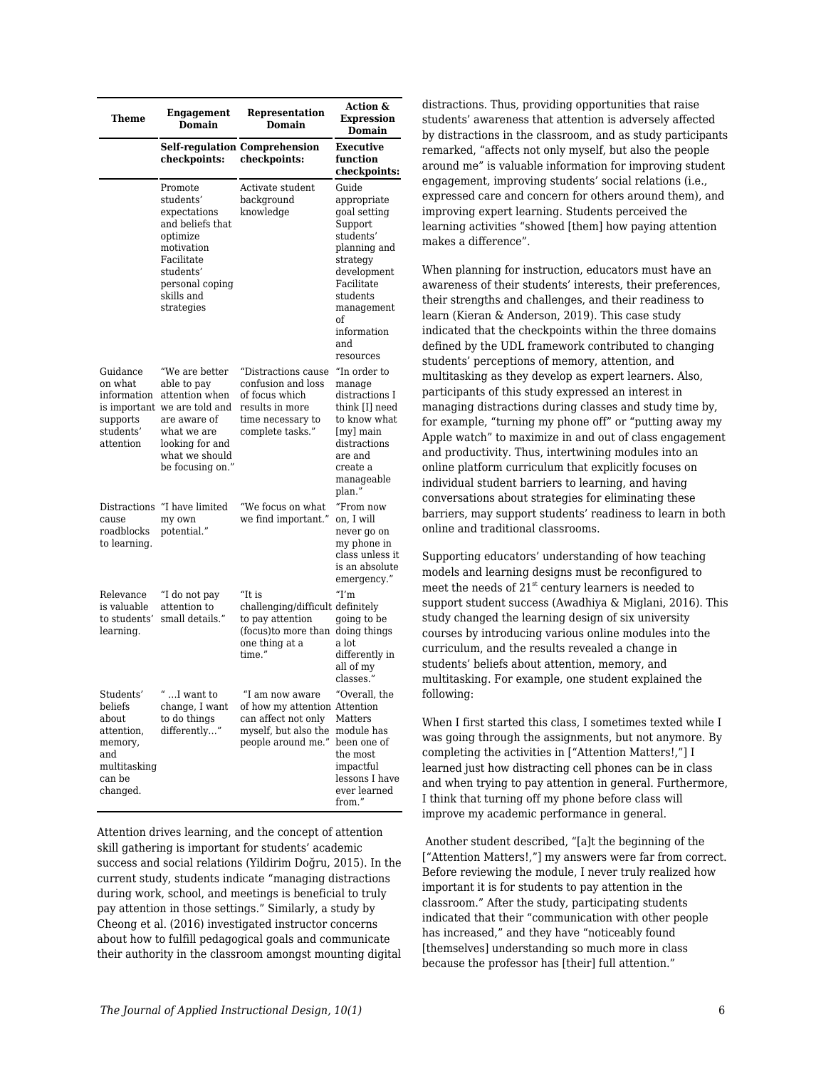| Theme                                                                                               | <b>Engagement</b><br><b>Domain</b>                                                                                                                                      | Representation<br>Domain                                                                                                        | Action &<br><b>Expression</b><br>Domain                                                                                                                                                  |  |  |
|-----------------------------------------------------------------------------------------------------|-------------------------------------------------------------------------------------------------------------------------------------------------------------------------|---------------------------------------------------------------------------------------------------------------------------------|------------------------------------------------------------------------------------------------------------------------------------------------------------------------------------------|--|--|
|                                                                                                     | checkpoints:                                                                                                                                                            | Self-regulation Comprehension<br>checkpoints:                                                                                   | Executive<br>function<br>checkpoints:                                                                                                                                                    |  |  |
|                                                                                                     | Promote<br>students'<br>expectations<br>and beliefs that<br>optimize<br>motivation<br>Facilitate<br>students'<br>personal coping<br>skills and<br>strategies            | Activate student<br>background<br>knowledge                                                                                     | Guide<br>appropriate<br>goal setting<br>Support<br>students'<br>planning and<br>strategy<br>development<br>Facilitate<br>students<br>management<br>of<br>information<br>and<br>resources |  |  |
| Guidance<br>on what<br>information<br>supports<br>students'<br>attention                            | "We are better<br>able to pay<br>attention when<br>is important we are told and<br>are aware of<br>what we are<br>looking for and<br>what we should<br>be focusing on." | "Distractions cause<br>confusion and loss<br>of focus which<br>results in more<br>time necessary to<br>complete tasks."         | "In order to<br>manage<br>distractions I<br>think [I] need<br>to know what<br>[my] main<br>distractions<br>are and<br>create a<br>manageable<br>plan."                                   |  |  |
| cause<br>roadblocks<br>to learning.                                                                 | Distractions "I have limited<br>my own<br>potential."                                                                                                                   | "We focus on what<br>we find important."                                                                                        | "From now<br>on, I will<br>never go on<br>my phone in<br>class unless it<br>is an absolute<br>emergency."                                                                                |  |  |
| Relevance<br>is valuable<br>to students'<br>learning.                                               | "I do not pay<br>attention to<br>small details."                                                                                                                        | "It is<br>challenging/difficult definitely<br>to pay attention<br>(focus) to more than doing things<br>one thing at a<br>time." | T'm<br>going to be<br>a lot<br>differently in<br>all of my<br>classes."                                                                                                                  |  |  |
| Students'<br>beliefs<br>about<br>attention,<br>memory,<br>and<br>multitasking<br>can be<br>changed. | $^{\prime\prime}$ $$ I want to<br>change, I want<br>to do things<br>differently"                                                                                        | "I am now aware<br>of how my attention Attention<br>can affect not only<br>myself, but also the<br>people around me."           | "Overall, the<br>Matters<br>module has<br>been one of<br>the most<br>impactful<br>lessons I have<br>ever learned<br>from."                                                               |  |  |

Attention drives learning, and the concept of attention skill gathering is important for students' academic success and social relations (Yildirim Doğru, 2015). In the current study, students indicate "managing distractions during work, school, and meetings is beneficial to truly pay attention in those settings." Similarly, a study by Cheong et al. (2016) investigated instructor concerns about how to fulfill pedagogical goals and communicate their authority in the classroom amongst mounting digital distractions. Thus, providing opportunities that raise students' awareness that attention is adversely affected by distractions in the classroom, and as study participants remarked, "affects not only myself, but also the people around me" is valuable information for improving student engagement, improving students' social relations (i.e., expressed care and concern for others around them), and improving expert learning. Students perceived the learning activities "showed [them] how paying attention makes a difference".

When planning for instruction, educators must have an awareness of their students' interests, their preferences, their strengths and challenges, and their readiness to learn (Kieran & Anderson, 2019). This case study indicated that the checkpoints within the three domains defined by the UDL framework contributed to changing students' perceptions of memory, attention, and multitasking as they develop as expert learners. Also, participants of this study expressed an interest in managing distractions during classes and study time by, for example, "turning my phone off" or "putting away my Apple watch" to maximize in and out of class engagement and productivity. Thus, intertwining modules into an online platform curriculum that explicitly focuses on individual student barriers to learning, and having conversations about strategies for eliminating these barriers, may support students' readiness to learn in both online and traditional classrooms.

Supporting educators' understanding of how teaching models and learning designs must be reconfigured to meet the needs of  $21<sup>st</sup>$  century learners is needed to support student success (Awadhiya & Miglani, 2016). This study changed the learning design of six university courses by introducing various online modules into the curriculum, and the results revealed a change in students' beliefs about attention, memory, and multitasking. For example, one student explained the following:

When I first started this class, I sometimes texted while I was going through the assignments, but not anymore. By completing the activities in ["Attention Matters!,"] I learned just how distracting cell phones can be in class and when trying to pay attention in general. Furthermore, I think that turning off my phone before class will improve my academic performance in general.

 Another student described, "[a]t the beginning of the ["Attention Matters!,"] my answers were far from correct. Before reviewing the module, I never truly realized how important it is for students to pay attention in the classroom." After the study, participating students indicated that their "communication with other people has increased," and they have "noticeably found [themselves] understanding so much more in class because the professor has [their] full attention."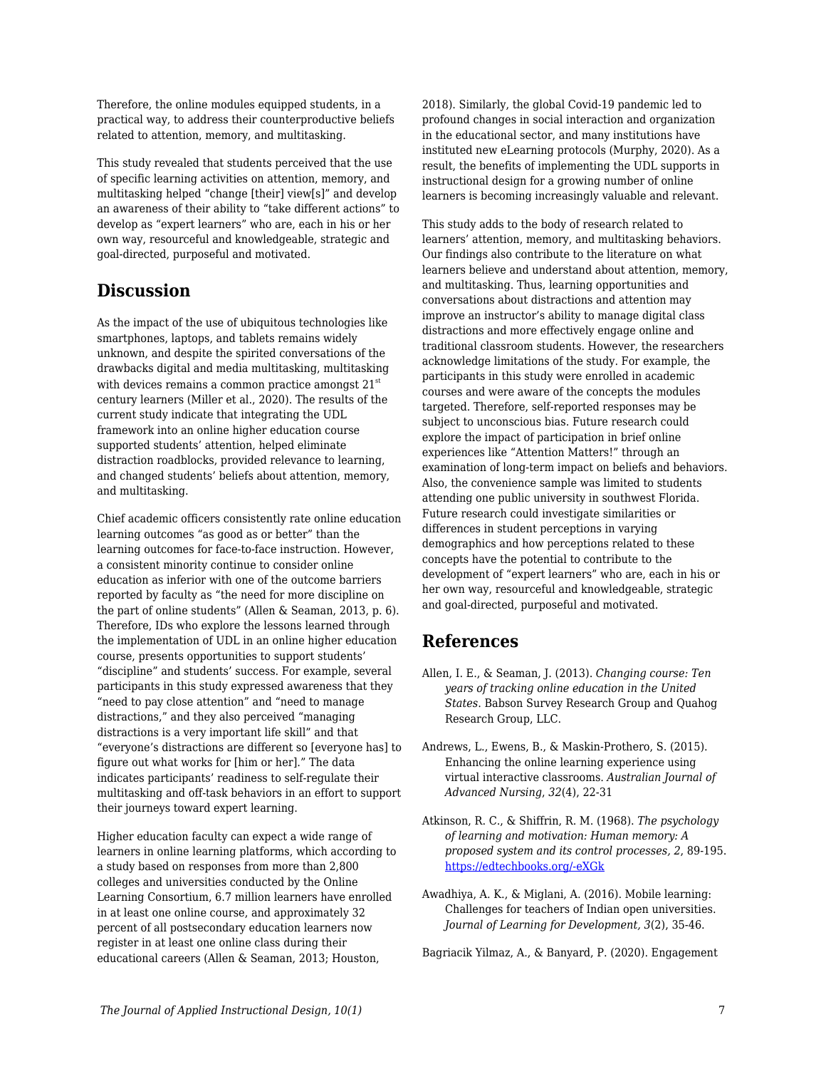Therefore, the online modules equipped students, in a practical way, to address their counterproductive beliefs related to attention, memory, and multitasking.

This study revealed that students perceived that the use of specific learning activities on attention, memory, and multitasking helped "change [their] view[s]" and develop an awareness of their ability to "take different actions" to develop as "expert learners" who are, each in his or her own way, resourceful and knowledgeable, strategic and goal-directed, purposeful and motivated.

### **Discussion**

As the impact of the use of ubiquitous technologies like smartphones, laptops, and tablets remains widely unknown, and despite the spirited conversations of the drawbacks digital and media multitasking, multitasking with devices remains a common practice amongst  $21<sup>st</sup>$ century learners (Miller et al., 2020). The results of the current study indicate that integrating the UDL framework into an online higher education course supported students' attention, helped eliminate distraction roadblocks, provided relevance to learning, and changed students' beliefs about attention, memory, and multitasking.

Chief academic officers consistently rate online education learning outcomes "as good as or better" than the learning outcomes for face-to-face instruction. However, a consistent minority continue to consider online education as inferior with one of the outcome barriers reported by faculty as "the need for more discipline on the part of online students" (Allen & Seaman, 2013, p. 6). Therefore, IDs who explore the lessons learned through the implementation of UDL in an online higher education course, presents opportunities to support students' "discipline" and students' success. For example, several participants in this study expressed awareness that they "need to pay close attention" and "need to manage distractions," and they also perceived "managing distractions is a very important life skill" and that "everyone's distractions are different so [everyone has] to figure out what works for [him or her]." The data indicates participants' readiness to self-regulate their multitasking and off-task behaviors in an effort to support their journeys toward expert learning.

Higher education faculty can expect a wide range of learners in online learning platforms, which according to a study based on responses from more than 2,800 colleges and universities conducted by the Online Learning Consortium, 6.7 million learners have enrolled in at least one online course, and approximately 32 percent of all postsecondary education learners now register in at least one online class during their educational careers (Allen & Seaman, 2013; Houston,

2018). Similarly, the global Covid-19 pandemic led to profound changes in social interaction and organization in the educational sector, and many institutions have instituted new eLearning protocols (Murphy, 2020). As a result, the benefits of implementing the UDL supports in instructional design for a growing number of online learners is becoming increasingly valuable and relevant.

This study adds to the body of research related to learners' attention, memory, and multitasking behaviors. Our findings also contribute to the literature on what learners believe and understand about attention, memory, and multitasking. Thus, learning opportunities and conversations about distractions and attention may improve an instructor's ability to manage digital class distractions and more effectively engage online and traditional classroom students. However, the researchers acknowledge limitations of the study. For example, the participants in this study were enrolled in academic courses and were aware of the concepts the modules targeted. Therefore, self-reported responses may be subject to unconscious bias. Future research could explore the impact of participation in brief online experiences like "Attention Matters!" through an examination of long-term impact on beliefs and behaviors. Also, the convenience sample was limited to students attending one public university in southwest Florida. Future research could investigate similarities or differences in student perceptions in varying demographics and how perceptions related to these concepts have the potential to contribute to the development of "expert learners" who are, each in his or her own way, resourceful and knowledgeable, strategic and goal-directed, purposeful and motivated.

## **References**

- Allen, I. E., & Seaman, J. (2013). *Changing course: Ten years of tracking online education in the United States*. Babson Survey Research Group and Quahog Research Group, LLC.
- Andrews, L., Ewens, B., & Maskin-Prothero, S. (2015). Enhancing the online learning experience using virtual interactive classrooms. *Australian Journal of Advanced Nursing*, *32*(4), 22-31
- Atkinson, R. C., & Shiffrin, R. M. (1968). *The psychology of learning and motivation: Human memory: A proposed system and its control processes, 2*, 89-195. [https://edtechbooks.org/-eXGk](https://doi.org/10.1016/S0079-7421(08)60422-3)
- Awadhiya, A. K., & Miglani, A. (2016). Mobile learning: Challenges for teachers of Indian open universities. *Journal of Learning for Development, 3*(2), 35-46.

Bagriacik Yilmaz, A., & Banyard, P. (2020). Engagement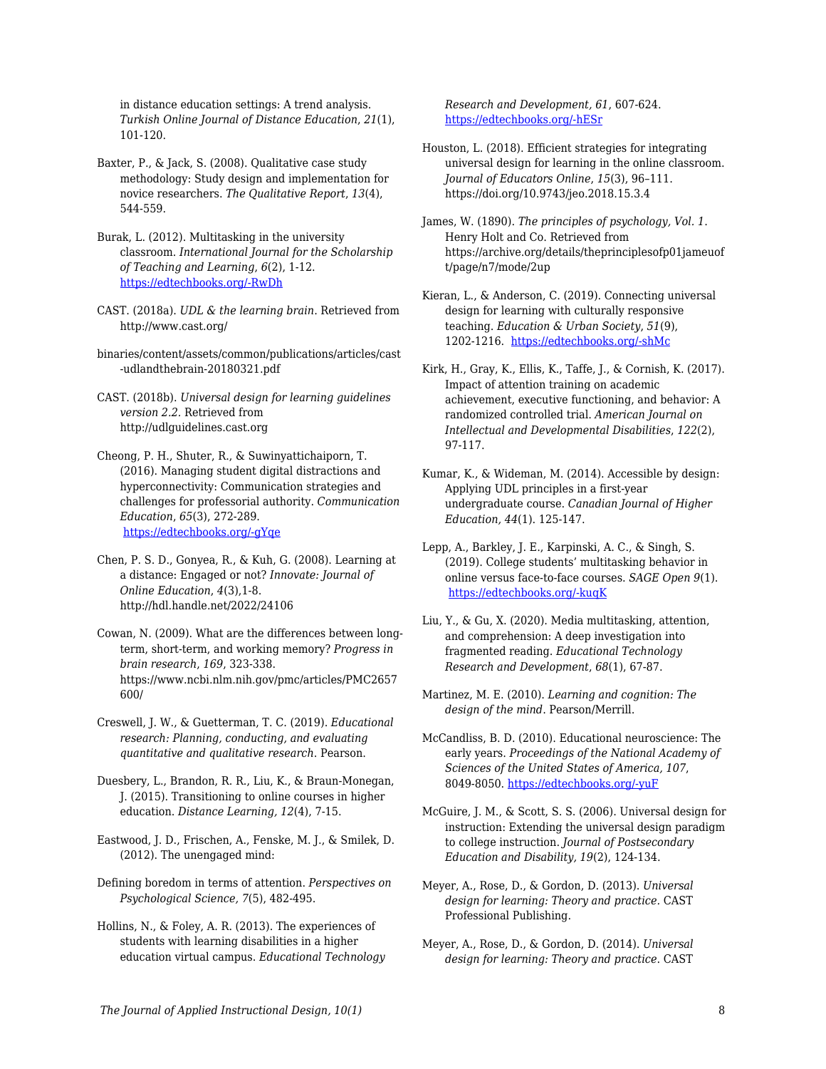in distance education settings: A trend analysis. *Turkish Online Journal of Distance Education*, *21*(1), 101-120.

- Baxter, P., & Jack, S. (2008). Qualitative case study methodology: Study design and implementation for novice researchers. *The Qualitative Report*, *13*(4), 544-559.
- Burak, L. (2012). Multitasking in the university classroom. *International Journal for the Scholarship of Teaching and Learning*, *6*(2), 1-12. [https://edtechbooks.org/-RwDh](https://doi.org/10.20429/ijsotl.2012.060208)
- CAST. (2018a). *UDL & the learning brain*. Retrieved from http://www.cast.org/
- binaries/content/assets/common/publications/articles/cast -udlandthebrain-20180321.pdf
- CAST. (2018b). *Universal design for learning guidelines version 2.2.* Retrieved from http://udlguidelines.cast.org
- Cheong, P. H., Shuter, R., & Suwinyattichaiporn, T. (2016). Managing student digital distractions and hyperconnectivity: Communication strategies and challenges for professorial authority. *Communication Education*, *65*(3), 272-289. [https://edtechbooks.org/-gYqe](https://doi.org/10.1080/03634523.2016.1159317)
- Chen, P. S. D., Gonyea, R., & Kuh, G. (2008). Learning at a distance: Engaged or not? *Innovate: Journal of Online Education*, *4*(3),1-8. http://hdl.handle.net/2022/24106
- Cowan, N. (2009). What are the differences between longterm, short-term, and working memory? *Progress in brain research*, *169*, 323-338. https://www.ncbi.nlm.nih.gov/pmc/articles/PMC2657 600/
- Creswell, J. W., & Guetterman, T. C. (2019). *Educational research: Planning, conducting, and evaluating quantitative and qualitative research*. Pearson.
- Duesbery, L., Brandon, R. R., Liu, K., & Braun-Monegan, J. (2015). Transitioning to online courses in higher education. *Distance Learning, 12*(4), 7-15.
- Eastwood, J. D., Frischen, A., Fenske, M. J., & Smilek, D. (2012). The unengaged mind:
- Defining boredom in terms of attention. *Perspectives on Psychological Science, 7*(5), 482-495.
- Hollins, N., & Foley, A. R. (2013). The experiences of students with learning disabilities in a higher education virtual campus. *Educational Technology*

*Research and Development, 61*, 607-624. [https://edtechbooks.org/-hESr](https://doi.org/10.1007/s11423-013-9302-9)

- Houston, L. (2018). Efficient strategies for integrating universal design for learning in the online classroom. *Journal of Educators Online*, *15*(3), 96–111. https://doi.org/10.9743/jeo.2018.15.3.4
- James, W. (1890). *The principles of psychology, Vol. 1*. Henry Holt and Co. Retrieved from https://archive.org/details/theprinciplesofp01jameuof t/page/n7/mode/2up
- Kieran, L., & Anderson, C. (2019). Connecting universal design for learning with culturally responsive teaching. *Education & Urban Society*, *51*(9), 1202-1216. [https://edtechbooks.org/-shMc](https://doi.org/10.1177%2F0013124518785012)
- Kirk, H., Gray, K., Ellis, K., Taffe, J., & Cornish, K. (2017). Impact of attention training on academic achievement, executive functioning, and behavior: A randomized controlled trial. *American Journal on Intellectual and Developmental Disabilities*, *122*(2), 97-117.
- Kumar, K., & Wideman, M. (2014). Accessible by design: Applying UDL principles in a first-year undergraduate course. *Canadian Journal of Higher Education, 44*(1). 125-147.
- Lepp, A., Barkley, J. E., Karpinski, A. C., & Singh, S. (2019). College students' multitasking behavior in online versus face-to-face courses. *SAGE Open 9*(1). [https://edtechbooks.org/-kuqK](https://doi.org/10.1177%2F2158244018824505)
- Liu, Y., & Gu, X. (2020). Media multitasking, attention, and comprehension: A deep investigation into fragmented reading. *Educational Technology Research and Development*, *68*(1), 67-87.
- Martinez, M. E. (2010). *Learning and cognition: The design of the mind*. Pearson/Merrill.
- McCandliss, B. D. (2010). Educational neuroscience: The early years. *Proceedings of the National Academy of Sciences of the United States of America, 107*, 8049-8050. [https://edtechbooks.org/-yuF](https://doi.org/10.1073/pnas.1003431107)
- McGuire, J. M., & Scott, S. S. (2006). Universal design for instruction: Extending the universal design paradigm to college instruction. *Journal of Postsecondary Education and Disability, 19*(2), 124-134.
- Meyer, A., Rose, D., & Gordon, D. (2013). *Universal design for learning: Theory and practice.* CAST Professional Publishing.
- Meyer, A., Rose, D., & Gordon, D. (2014). *Universal design for learning: Theory and practice*. CAST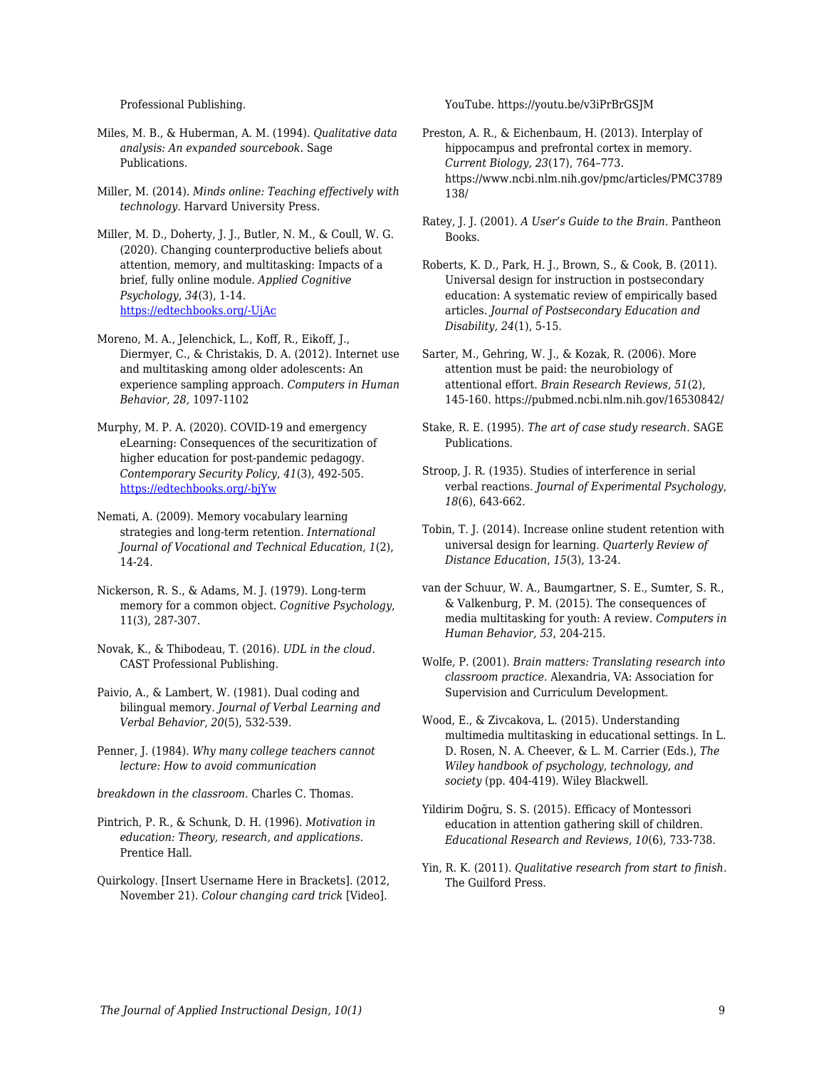Professional Publishing.

- Miles, M. B., & Huberman, A. M. (1994). *Qualitative data analysis: An expanded sourcebook*. Sage Publications.
- Miller, M. (2014). *Minds online: Teaching effectively with technology*. Harvard University Press.
- Miller, M. D., Doherty, J. J., Butler, N. M., & Coull, W. G. (2020). Changing counterproductive beliefs about attention, memory, and multitasking: Impacts of a brief, fully online module. *Applied Cognitive Psychology, 34*(3), 1-14*.* [https://edtechbooks.org/-UjAc](https://doi.org/10.1002/acp.3662)
- Moreno, M. A., Jelenchick, L., Koff, R., Eikoff, J., Diermyer, C., & Christakis, D. A. (2012). Internet use and multitasking among older adolescents: An experience sampling approach. *Computers in Human Behavior, 28*, 1097-1102
- Murphy, M. P. A. (2020). COVID-19 and emergency eLearning: Consequences of the securitization of higher education for post-pandemic pedagogy. *Contemporary Security Policy*, *41*(3), 492-505. [https://edtechbooks.org/-bjYw](https://doi.org/10.1080/13523260.2020.1761749)
- Nemati, A. (2009). Memory vocabulary learning strategies and long-term retention. *International Journal of Vocational and Technical Education, 1*(2), 14-24.
- Nickerson, R. S., & Adams, M. J. (1979). Long-term memory for a common object. *Cognitive Psychology*, 11(3), 287-307.
- Novak, K., & Thibodeau, T. (2016). *UDL in the cloud*. CAST Professional Publishing.
- Paivio, A., & Lambert, W. (1981). Dual coding and bilingual memory. *Journal of Verbal Learning and Verbal Behavior*, *20*(5), 532-539.
- Penner, J. (1984). *Why many college teachers cannot lecture: How to avoid communication*
- *breakdown in the classroom.* Charles C. Thomas.
- Pintrich, P. R., & Schunk, D. H. (1996). *Motivation in education: Theory, research, and applications*. Prentice Hall.
- Quirkology. [Insert Username Here in Brackets]. (2012, November 21). *Colour changing card trick* [Video].

YouTube. https://youtu.be/v3iPrBrGSJM

- Preston, A. R., & Eichenbaum, H. (2013). Interplay of hippocampus and prefrontal cortex in memory. *Current Biology, 23*(17), 764–773. https://www.ncbi.nlm.nih.gov/pmc/articles/PMC3789 138/
- Ratey, J. J. (2001). *A User's Guide to the Brain.* Pantheon Books.
- Roberts, K. D., Park, H. J., Brown, S., & Cook, B. (2011). Universal design for instruction in postsecondary education: A systematic review of empirically based articles. *Journal of Postsecondary Education and Disability, 24*(1), 5-15.
- Sarter, M., Gehring, W. J., & Kozak, R. (2006). More attention must be paid: the neurobiology of attentional effort. *Brain Research Reviews, 51*(2), 145-160. https://pubmed.ncbi.nlm.nih.gov/16530842/
- Stake, R. E. (1995). *The art of case study research*. SAGE Publications.
- Stroop, J. R. (1935). Studies of interference in serial verbal reactions. *Journal of Experimental Psychology*, *18*(6), 643-662.
- Tobin, T. J. (2014). Increase online student retention with universal design for learning. *Quarterly Review of Distance Education*, *15*(3), 13-24.
- van der Schuur, W. A., Baumgartner, S. E., Sumter, S. R., & Valkenburg, P. M. (2015). The consequences of media multitasking for youth: A review. *Computers in Human Behavior, 53*, 204-215.
- Wolfe, P. (2001). *Brain matters: Translating research into classroom practice*. Alexandria, VA: Association for Supervision and Curriculum Development.
- Wood, E., & Zivcakova, L. (2015). Understanding multimedia multitasking in educational settings. In L. D. Rosen, N. A. Cheever, & L. M. Carrier (Eds.), *The Wiley handbook of psychology, technology, and society* (pp. 404-419). Wiley Blackwell.
- Yildirim Doğru, S. S. (2015). Efficacy of Montessori education in attention gathering skill of children. *Educational Research and Reviews*, *10*(6), 733-738.
- Yin, R. K. (2011). *Qualitative research from start to finish*. The Guilford Press.